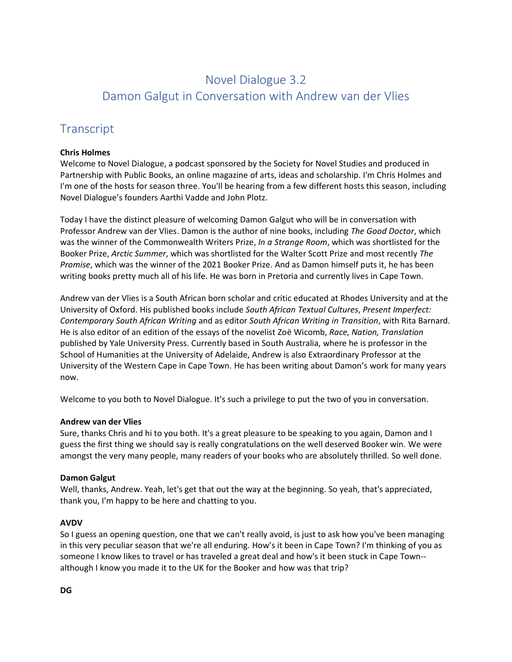# Novel Dialogue 3.2 Damon Galgut in Conversation with Andrew van der Vlies

# **Transcript**

# **Chris Holmes**

Welcome to Novel Dialogue, a podcast sponsored by the Society for Novel Studies and produced in Partnership with Public Books, an online magazine of arts, ideas and scholarship. I'm Chris Holmes and I'm one of the hosts for season three. You'll be hearing from a few different hosts this season, including Novel Dialogue's founders Aarthi Vadde and John Plotz.

Today I have the distinct pleasure of welcoming Damon Galgut who will be in conversation with Professor Andrew van der Vlies. Damon is the author of nine books, including *The Good Doctor*, which was the winner of the Commonwealth Writers Prize, *In a Strange Room*, which was shortlisted for the Booker Prize, *Arctic Summer*, which was shortlisted for the Walter Scott Prize and most recently *The Promise*, which was the winner of the 2021 Booker Prize. And as Damon himself puts it, he has been writing books pretty much all of his life. He was born in Pretoria and currently lives in Cape Town.

Andrew van der Vlies is a South African born scholar and critic educated at Rhodes University and at the University of Oxford. His published books include *South African Textual Cultures*, *Present Imperfect: Contemporary South African Writing* and as editor *South African Writing in Transition*, with Rita Barnard. He is also editor of an edition of the essays of the novelist Zoë Wicomb, *Race, Nation, Translation* published by Yale University Press. Currently based in South Australia, where he is professor in the School of Humanities at the University of Adelaide, Andrew is also Extraordinary Professor at the University of the Western Cape in Cape Town. He has been writing about Damon's work for many years now.

Welcome to you both to Novel Dialogue. It's such a privilege to put the two of you in conversation.

# **Andrew van der Vlies**

Sure, thanks Chris and hi to you both. It's a great pleasure to be speaking to you again, Damon and I guess the first thing we should say is really congratulations on the well deserved Booker win. We were amongst the very many people, many readers of your books who are absolutely thrilled. So well done.

# **Damon Galgut**

Well, thanks, Andrew. Yeah, let's get that out the way at the beginning. So yeah, that's appreciated, thank you, I'm happy to be here and chatting to you.

# **AVDV**

So I guess an opening question, one that we can't really avoid, is just to ask how you've been managing in this very peculiar season that we're all enduring. How's it been in Cape Town? I'm thinking of you as someone I know likes to travel or has traveled a great deal and how's it been stuck in Cape Town- although I know you made it to the UK for the Booker and how was that trip?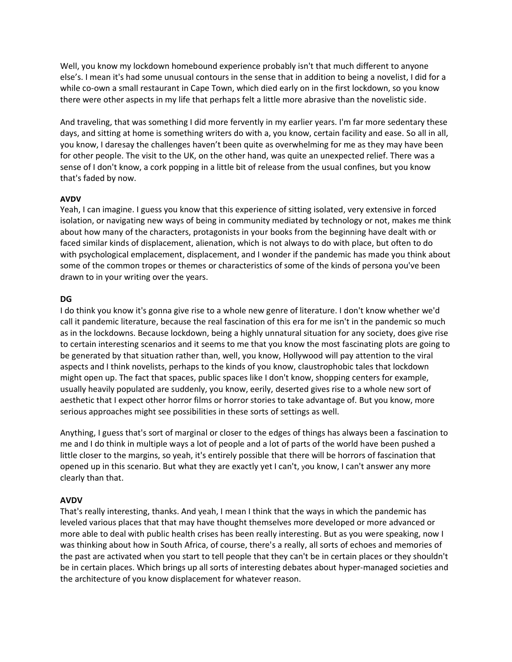Well, you know my lockdown homebound experience probably isn't that much different to anyone else's. I mean it's had some unusual contours in the sense that in addition to being a novelist, I did for a while co-own a small restaurant in Cape Town, which died early on in the first lockdown, so you know there were other aspects in my life that perhaps felt a little more abrasive than the novelistic side.

And traveling, that was something I did more fervently in my earlier years. I'm far more sedentary these days, and sitting at home is something writers do with a, you know, certain facility and ease. So all in all, you know, I daresay the challenges haven't been quite as overwhelming for me as they may have been for other people. The visit to the UK, on the other hand, was quite an unexpected relief. There was a sense of I don't know, a cork popping in a little bit of release from the usual confines, but you know that's faded by now.

#### **AVDV**

Yeah, I can imagine. I guess you know that this experience of sitting isolated, very extensive in forced isolation, or navigating new ways of being in community mediated by technology or not, makes me think about how many of the characters, protagonists in your books from the beginning have dealt with or faced similar kinds of displacement, alienation, which is not always to do with place, but often to do with psychological emplacement, displacement, and I wonder if the pandemic has made you think about some of the common tropes or themes or characteristics of some of the kinds of persona you've been drawn to in your writing over the years.

#### **DG**

I do think you know it's gonna give rise to a whole new genre of literature. I don't know whether we'd call it pandemic literature, because the real fascination of this era for me isn't in the pandemic so much as in the lockdowns. Because lockdown, being a highly unnatural situation for any society, does give rise to certain interesting scenarios and it seems to me that you know the most fascinating plots are going to be generated by that situation rather than, well, you know, Hollywood will pay attention to the viral aspects and I think novelists, perhaps to the kinds of you know, claustrophobic tales that lockdown might open up. The fact that spaces, public spaces like I don't know, shopping centers for example, usually heavily populated are suddenly, you know, eerily, deserted gives rise to a whole new sort of aesthetic that I expect other horror films or horror stories to take advantage of. But you know, more serious approaches might see possibilities in these sorts of settings as well.

Anything, I guess that's sort of marginal or closer to the edges of things has always been a fascination to me and I do think in multiple ways a lot of people and a lot of parts of the world have been pushed a little closer to the margins, so yeah, it's entirely possible that there will be horrors of fascination that opened up in this scenario. But what they are exactly yet I can't, you know, I can't answer any more clearly than that.

#### **AVDV**

That's really interesting, thanks. And yeah, I mean I think that the ways in which the pandemic has leveled various places that that may have thought themselves more developed or more advanced or more able to deal with public health crises has been really interesting. But as you were speaking, now I was thinking about how in South Africa, of course, there's a really, all sorts of echoes and memories of the past are activated when you start to tell people that they can't be in certain places or they shouldn't be in certain places. Which brings up all sorts of interesting debates about hyper-managed societies and the architecture of you know displacement for whatever reason.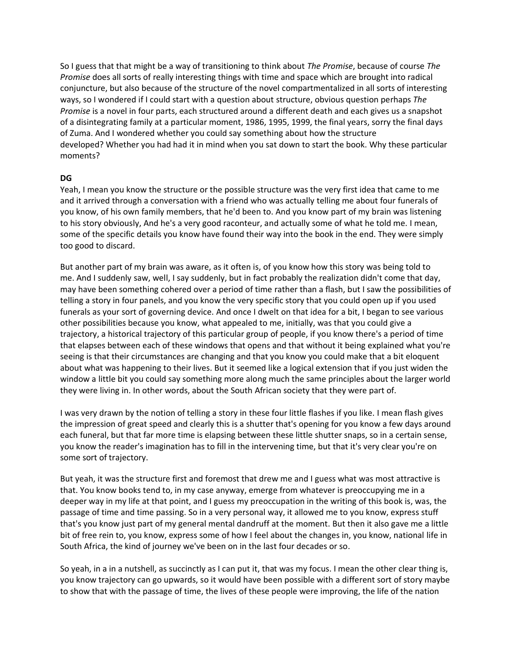So I guess that that might be a way of transitioning to think about *The Promise*, because of course *The Promise* does all sorts of really interesting things with time and space which are brought into radical conjuncture, but also because of the structure of the novel compartmentalized in all sorts of interesting ways, so I wondered if I could start with a question about structure, obvious question perhaps *The Promise* is a novel in four parts, each structured around a different death and each gives us a snapshot of a disintegrating family at a particular moment, 1986, 1995, 1999, the final years, sorry the final days of Zuma. And I wondered whether you could say something about how the structure developed? Whether you had had it in mind when you sat down to start the book. Why these particular moments?

# **DG**

Yeah, I mean you know the structure or the possible structure was the very first idea that came to me and it arrived through a conversation with a friend who was actually telling me about four funerals of you know, of his own family members, that he'd been to. And you know part of my brain was listening to his story obviously, And he's a very good raconteur, and actually some of what he told me. I mean, some of the specific details you know have found their way into the book in the end. They were simply too good to discard.

But another part of my brain was aware, as it often is, of you know how this story was being told to me. And I suddenly saw, well, I say suddenly, but in fact probably the realization didn't come that day, may have been something cohered over a period of time rather than a flash, but I saw the possibilities of telling a story in four panels, and you know the very specific story that you could open up if you used funerals as your sort of governing device. And once I dwelt on that idea for a bit, I began to see various other possibilities because you know, what appealed to me, initially, was that you could give a trajectory, a historical trajectory of this particular group of people, if you know there's a period of time that elapses between each of these windows that opens and that without it being explained what you're seeing is that their circumstances are changing and that you know you could make that a bit eloquent about what was happening to their lives. But it seemed like a logical extension that if you just widen the window a little bit you could say something more along much the same principles about the larger world they were living in. In other words, about the South African society that they were part of.

I was very drawn by the notion of telling a story in these four little flashes if you like. I mean flash gives the impression of great speed and clearly this is a shutter that's opening for you know a few days around each funeral, but that far more time is elapsing between these little shutter snaps, so in a certain sense, you know the reader's imagination has to fill in the intervening time, but that it's very clear you're on some sort of trajectory.

But yeah, it was the structure first and foremost that drew me and I guess what was most attractive is that. You know books tend to, in my case anyway, emerge from whatever is preoccupying me in a deeper way in my life at that point, and I guess my preoccupation in the writing of this book is, was, the passage of time and time passing. So in a very personal way, it allowed me to you know, express stuff that's you know just part of my general mental dandruff at the moment. But then it also gave me a little bit of free rein to, you know, express some of how I feel about the changes in, you know, national life in South Africa, the kind of journey we've been on in the last four decades or so.

So yeah, in a in a nutshell, as succinctly as I can put it, that was my focus. I mean the other clear thing is, you know trajectory can go upwards, so it would have been possible with a different sort of story maybe to show that with the passage of time, the lives of these people were improving, the life of the nation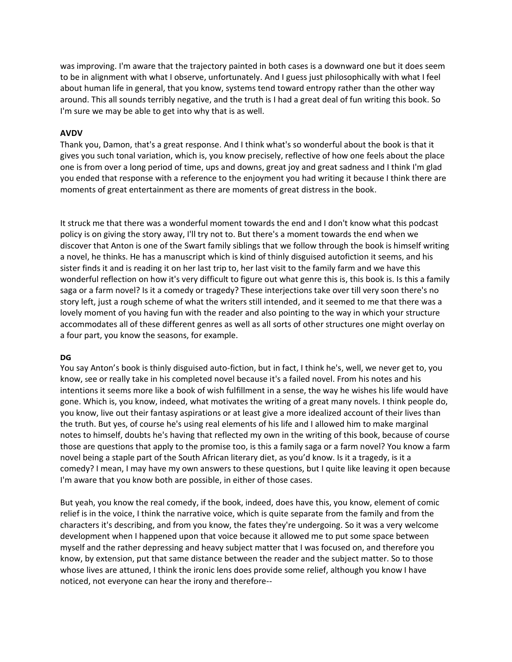was improving. I'm aware that the trajectory painted in both cases is a downward one but it does seem to be in alignment with what I observe, unfortunately. And I guess just philosophically with what I feel about human life in general, that you know, systems tend toward entropy rather than the other way around. This all sounds terribly negative, and the truth is I had a great deal of fun writing this book. So I'm sure we may be able to get into why that is as well.

# **AVDV**

Thank you, Damon, that's a great response. And I think what's so wonderful about the book is that it gives you such tonal variation, which is, you know precisely, reflective of how one feels about the place one is from over a long period of time, ups and downs, great joy and great sadness and I think I'm glad you ended that response with a reference to the enjoyment you had writing it because I think there are moments of great entertainment as there are moments of great distress in the book.

It struck me that there was a wonderful moment towards the end and I don't know what this podcast policy is on giving the story away, I'll try not to. But there's a moment towards the end when we discover that Anton is one of the Swart family siblings that we follow through the book is himself writing a novel, he thinks. He has a manuscript which is kind of thinly disguised autofiction it seems, and his sister finds it and is reading it on her last trip to, her last visit to the family farm and we have this wonderful reflection on how it's very difficult to figure out what genre this is, this book is. Is this a family saga or a farm novel? Is it a comedy or tragedy? These interjections take over till very soon there's no story left, just a rough scheme of what the writers still intended, and it seemed to me that there was a lovely moment of you having fun with the reader and also pointing to the way in which your structure accommodates all of these different genres as well as all sorts of other structures one might overlay on a four part, you know the seasons, for example.

#### **DG**

You say Anton's book is thinly disguised auto-fiction, but in fact, I think he's, well, we never get to, you know, see or really take in his completed novel because it's a failed novel. From his notes and his intentions it seems more like a book of wish fulfillment in a sense, the way he wishes his life would have gone. Which is, you know, indeed, what motivates the writing of a great many novels. I think people do, you know, live out their fantasy aspirations or at least give a more idealized account of their lives than the truth. But yes, of course he's using real elements of his life and I allowed him to make marginal notes to himself, doubts he's having that reflected my own in the writing of this book, because of course those are questions that apply to the promise too, is this a family saga or a farm novel? You know a farm novel being a staple part of the South African literary diet, as you'd know. Is it a tragedy, is it a comedy? I mean, I may have my own answers to these questions, but I quite like leaving it open because I'm aware that you know both are possible, in either of those cases.

But yeah, you know the real comedy, if the book, indeed, does have this, you know, element of comic relief is in the voice, I think the narrative voice, which is quite separate from the family and from the characters it's describing, and from you know, the fates they're undergoing. So it was a very welcome development when I happened upon that voice because it allowed me to put some space between myself and the rather depressing and heavy subject matter that I was focused on, and therefore you know, by extension, put that same distance between the reader and the subject matter. So to those whose lives are attuned, I think the ironic lens does provide some relief, although you know I have noticed, not everyone can hear the irony and therefore--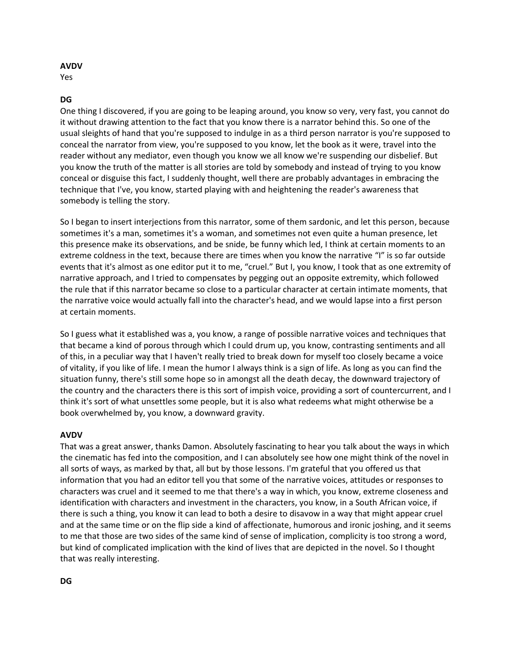#### **AVDV**

Yes

### **DG**

One thing I discovered, if you are going to be leaping around, you know so very, very fast, you cannot do it without drawing attention to the fact that you know there is a narrator behind this. So one of the usual sleights of hand that you're supposed to indulge in as a third person narrator is you're supposed to conceal the narrator from view, you're supposed to you know, let the book as it were, travel into the reader without any mediator, even though you know we all know we're suspending our disbelief. But you know the truth of the matter is all stories are told by somebody and instead of trying to you know conceal or disguise this fact, I suddenly thought, well there are probably advantages in embracing the technique that I've, you know, started playing with and heightening the reader's awareness that somebody is telling the story.

So I began to insert interjections from this narrator, some of them sardonic, and let this person, because sometimes it's a man, sometimes it's a woman, and sometimes not even quite a human presence, let this presence make its observations, and be snide, be funny which led, I think at certain moments to an extreme coldness in the text, because there are times when you know the narrative "I" is so far outside events that it's almost as one editor put it to me, "cruel." But I, you know, I took that as one extremity of narrative approach, and I tried to compensates by pegging out an opposite extremity, which followed the rule that if this narrator became so close to a particular character at certain intimate moments, that the narrative voice would actually fall into the character's head, and we would lapse into a first person at certain moments.

So I guess what it established was a, you know, a range of possible narrative voices and techniques that that became a kind of porous through which I could drum up, you know, contrasting sentiments and all of this, in a peculiar way that I haven't really tried to break down for myself too closely became a voice of vitality, if you like of life. I mean the humor I always think is a sign of life. As long as you can find the situation funny, there's still some hope so in amongst all the death decay, the downward trajectory of the country and the characters there is this sort of impish voice, providing a sort of countercurrent, and I think it's sort of what unsettles some people, but it is also what redeems what might otherwise be a book overwhelmed by, you know, a downward gravity.

#### **AVDV**

That was a great answer, thanks Damon. Absolutely fascinating to hear you talk about the ways in which the cinematic has fed into the composition, and I can absolutely see how one might think of the novel in all sorts of ways, as marked by that, all but by those lessons. I'm grateful that you offered us that information that you had an editor tell you that some of the narrative voices, attitudes or responses to characters was cruel and it seemed to me that there's a way in which, you know, extreme closeness and identification with characters and investment in the characters, you know, in a South African voice, if there is such a thing, you know it can lead to both a desire to disavow in a way that might appear cruel and at the same time or on the flip side a kind of affectionate, humorous and ironic joshing, and it seems to me that those are two sides of the same kind of sense of implication, complicity is too strong a word, but kind of complicated implication with the kind of lives that are depicted in the novel. So I thought that was really interesting.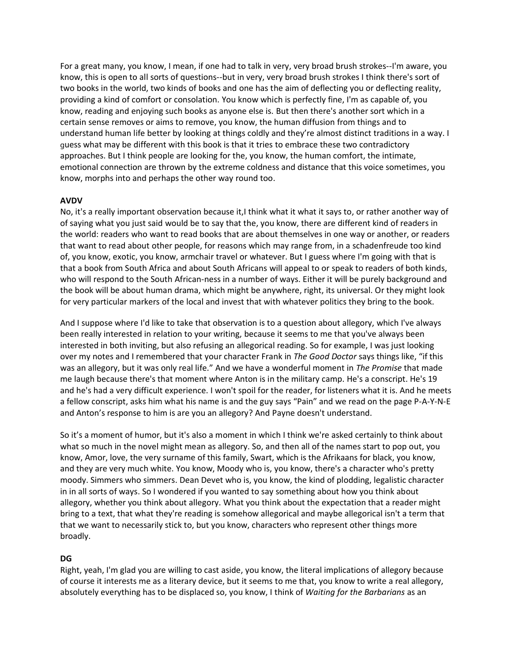For a great many, you know, I mean, if one had to talk in very, very broad brush strokes--I'm aware, you know, this is open to all sorts of questions--but in very, very broad brush strokes I think there's sort of two books in the world, two kinds of books and one has the aim of deflecting you or deflecting reality, providing a kind of comfort or consolation. You know which is perfectly fine, I'm as capable of, you know, reading and enjoying such books as anyone else is. But then there's another sort which in a certain sense removes or aims to remove, you know, the human diffusion from things and to understand human life better by looking at things coldly and they're almost distinct traditions in a way. I guess what may be different with this book is that it tries to embrace these two contradictory approaches. But I think people are looking for the, you know, the human comfort, the intimate, emotional connection are thrown by the extreme coldness and distance that this voice sometimes, you know, morphs into and perhaps the other way round too.

### **AVDV**

No, it's a really important observation because it,I think what it what it says to, or rather another way of of saying what you just said would be to say that the, you know, there are different kind of readers in the world: readers who want to read books that are about themselves in one way or another, or readers that want to read about other people, for reasons which may range from, in a schadenfreude too kind of, you know, exotic, you know, armchair travel or whatever. But I guess where I'm going with that is that a book from South Africa and about South Africans will appeal to or speak to readers of both kinds, who will respond to the South African-ness in a number of ways. Either it will be purely background and the book will be about human drama, which might be anywhere, right, its universal. Or they might look for very particular markers of the local and invest that with whatever politics they bring to the book.

And I suppose where I'd like to take that observation is to a question about allegory, which I've always been really interested in relation to your writing, because it seems to me that you've always been interested in both inviting, but also refusing an allegorical reading. So for example, I was just looking over my notes and I remembered that your character Frank in *The Good Doctor* says things like, "if this was an allegory, but it was only real life." And we have a wonderful moment in *The Promise* that made me laugh because there's that moment where Anton is in the military camp. He's a conscript. He's 19 and he's had a very difficult experience. I won't spoil for the reader, for listeners what it is. And he meets a fellow conscript, asks him what his name is and the guy says "Pain" and we read on the page P-A-Y-N-E and Anton's response to him is are you an allegory? And Payne doesn't understand.

So it's a moment of humor, but it's also a moment in which I think we're asked certainly to think about what so much in the novel might mean as allegory. So, and then all of the names start to pop out, you know, Amor, love, the very surname of this family, Swart, which is the Afrikaans for black, you know, and they are very much white. You know, Moody who is, you know, there's a character who's pretty moody. Simmers who simmers. Dean Devet who is, you know, the kind of plodding, legalistic character in in all sorts of ways. So I wondered if you wanted to say something about how you think about allegory, whether you think about allegory. What you think about the expectation that a reader might bring to a text, that what they're reading is somehow allegorical and maybe allegorical isn't a term that that we want to necessarily stick to, but you know, characters who represent other things more broadly.

# **DG**

Right, yeah, I'm glad you are willing to cast aside, you know, the literal implications of allegory because of course it interests me as a literary device, but it seems to me that, you know to write a real allegory, absolutely everything has to be displaced so, you know, I think of *Waiting for the Barbarians* as an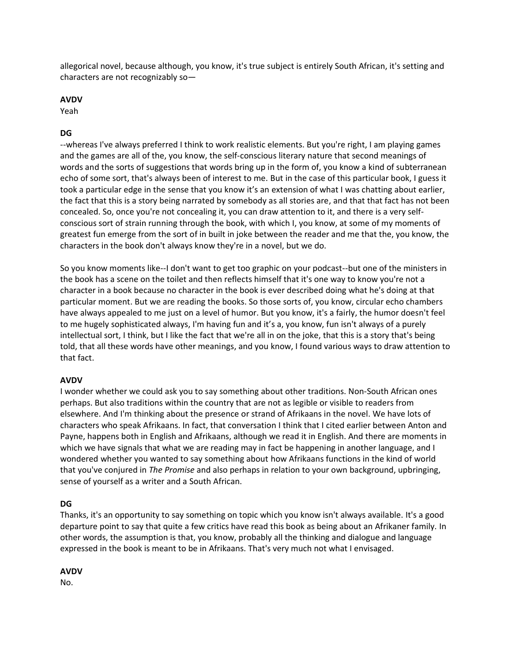allegorical novel, because although, you know, it's true subject is entirely South African, it's setting and characters are not recognizably so—

### **AVDV**

Yeah

# **DG**

--whereas I've always preferred I think to work realistic elements. But you're right, I am playing games and the games are all of the, you know, the self-conscious literary nature that second meanings of words and the sorts of suggestions that words bring up in the form of, you know a kind of subterranean echo of some sort, that's always been of interest to me. But in the case of this particular book, I guess it took a particular edge in the sense that you know it's an extension of what I was chatting about earlier, the fact that this is a story being narrated by somebody as all stories are, and that that fact has not been concealed. So, once you're not concealing it, you can draw attention to it, and there is a very selfconscious sort of strain running through the book, with which I, you know, at some of my moments of greatest fun emerge from the sort of in built in joke between the reader and me that the, you know, the characters in the book don't always know they're in a novel, but we do.

So you know moments like--I don't want to get too graphic on your podcast--but one of the ministers in the book has a scene on the toilet and then reflects himself that it's one way to know you're not a character in a book because no character in the book is ever described doing what he's doing at that particular moment. But we are reading the books. So those sorts of, you know, circular echo chambers have always appealed to me just on a level of humor. But you know, it's a fairly, the humor doesn't feel to me hugely sophisticated always, I'm having fun and it's a, you know, fun isn't always of a purely intellectual sort, I think, but I like the fact that we're all in on the joke, that this is a story that's being told, that all these words have other meanings, and you know, I found various ways to draw attention to that fact.

# **AVDV**

I wonder whether we could ask you to say something about other traditions. Non-South African ones perhaps. But also traditions within the country that are not as legible or visible to readers from elsewhere. And I'm thinking about the presence or strand of Afrikaans in the novel. We have lots of characters who speak Afrikaans. In fact, that conversation I think that I cited earlier between Anton and Payne, happens both in English and Afrikaans, although we read it in English. And there are moments in which we have signals that what we are reading may in fact be happening in another language, and I wondered whether you wanted to say something about how Afrikaans functions in the kind of world that you've conjured in *The Promise* and also perhaps in relation to your own background, upbringing, sense of yourself as a writer and a South African.

# **DG**

Thanks, it's an opportunity to say something on topic which you know isn't always available. It's a good departure point to say that quite a few critics have read this book as being about an Afrikaner family. In other words, the assumption is that, you know, probably all the thinking and dialogue and language expressed in the book is meant to be in Afrikaans. That's very much not what I envisaged.

# **AVDV**

No.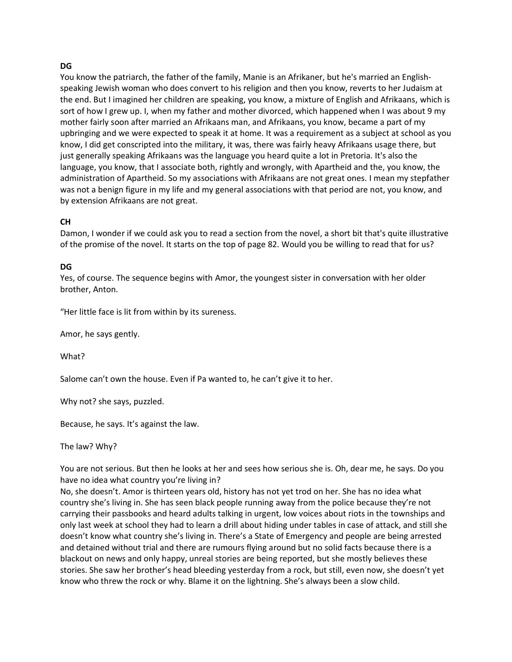### **DG**

You know the patriarch, the father of the family, Manie is an Afrikaner, but he's married an Englishspeaking Jewish woman who does convert to his religion and then you know, reverts to her Judaism at the end. But I imagined her children are speaking, you know, a mixture of English and Afrikaans, which is sort of how I grew up. I, when my father and mother divorced, which happened when I was about 9 my mother fairly soon after married an Afrikaans man, and Afrikaans, you know, became a part of my upbringing and we were expected to speak it at home. It was a requirement as a subject at school as you know, I did get conscripted into the military, it was, there was fairly heavy Afrikaans usage there, but just generally speaking Afrikaans was the language you heard quite a lot in Pretoria. It's also the language, you know, that I associate both, rightly and wrongly, with Apartheid and the, you know, the administration of Apartheid. So my associations with Afrikaans are not great ones. I mean my stepfather was not a benign figure in my life and my general associations with that period are not, you know, and by extension Afrikaans are not great.

### **CH**

Damon, I wonder if we could ask you to read a section from the novel, a short bit that's quite illustrative of the promise of the novel. It starts on the top of page 82. Would you be willing to read that for us?

#### **DG**

Yes, of course. The sequence begins with Amor, the youngest sister in conversation with her older brother, Anton.

"Her little face is lit from within by its sureness.

Amor, he says gently.

What?

Salome can't own the house. Even if Pa wanted to, he can't give it to her.

Why not? she says, puzzled.

Because, he says. It's against the law.

The law? Why?

You are not serious. But then he looks at her and sees how serious she is. Oh, dear me, he says. Do you have no idea what country you're living in?

No, she doesn't. Amor is thirteen years old, history has not yet trod on her. She has no idea what country she's living in. She has seen black people running away from the police because they're not carrying their passbooks and heard adults talking in urgent, low voices about riots in the townships and only last week at school they had to learn a drill about hiding under tables in case of attack, and still she doesn't know what country she's living in. There's a State of Emergency and people are being arrested and detained without trial and there are rumours flying around but no solid facts because there is a blackout on news and only happy, unreal stories are being reported, but she mostly believes these stories. She saw her brother's head bleeding yesterday from a rock, but still, even now, she doesn't yet know who threw the rock or why. Blame it on the lightning. She's always been a slow child.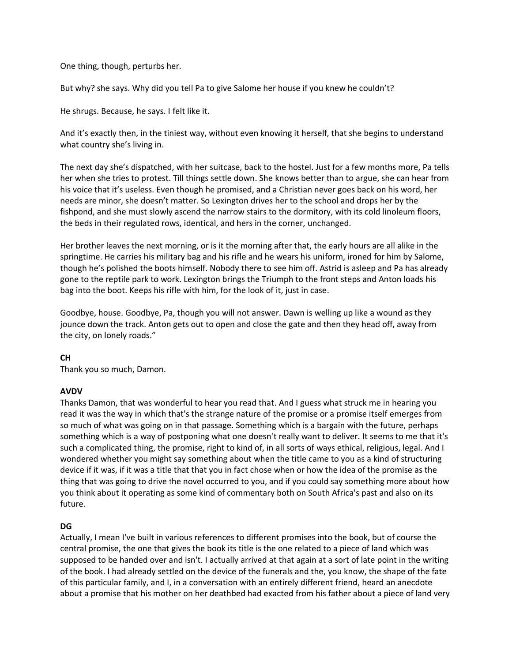One thing, though, perturbs her.

But why? she says. Why did you tell Pa to give Salome her house if you knew he couldn't?

He shrugs. Because, he says. I felt like it.

And it's exactly then, in the tiniest way, without even knowing it herself, that she begins to understand what country she's living in.

The next day she's dispatched, with her suitcase, back to the hostel. Just for a few months more, Pa tells her when she tries to protest. Till things settle down. She knows better than to argue, she can hear from his voice that it's useless. Even though he promised, and a Christian never goes back on his word, her needs are minor, she doesn't matter. So Lexington drives her to the school and drops her by the fishpond, and she must slowly ascend the narrow stairs to the dormitory, with its cold linoleum floors, the beds in their regulated rows, identical, and hers in the corner, unchanged.

Her brother leaves the next morning, or is it the morning after that, the early hours are all alike in the springtime. He carries his military bag and his rifle and he wears his uniform, ironed for him by Salome, though he's polished the boots himself. Nobody there to see him off. Astrid is asleep and Pa has already gone to the reptile park to work. Lexington brings the Triumph to the front steps and Anton loads his bag into the boot. Keeps his rifle with him, for the look of it, just in case.

Goodbye, house. Goodbye, Pa, though you will not answer. Dawn is welling up like a wound as they jounce down the track. Anton gets out to open and close the gate and then they head off, away from the city, on lonely roads."

# **CH**

Thank you so much, Damon.

# **AVDV**

Thanks Damon, that was wonderful to hear you read that. And I guess what struck me in hearing you read it was the way in which that's the strange nature of the promise or a promise itself emerges from so much of what was going on in that passage. Something which is a bargain with the future, perhaps something which is a way of postponing what one doesn't really want to deliver. It seems to me that it's such a complicated thing, the promise, right to kind of, in all sorts of ways ethical, religious, legal. And I wondered whether you might say something about when the title came to you as a kind of structuring device if it was, if it was a title that that you in fact chose when or how the idea of the promise as the thing that was going to drive the novel occurred to you, and if you could say something more about how you think about it operating as some kind of commentary both on South Africa's past and also on its future.

# **DG**

Actually, I mean I've built in various references to different promises into the book, but of course the central promise, the one that gives the book its title is the one related to a piece of land which was supposed to be handed over and isn't. I actually arrived at that again at a sort of late point in the writing of the book. I had already settled on the device of the funerals and the, you know, the shape of the fate of this particular family, and I, in a conversation with an entirely different friend, heard an anecdote about a promise that his mother on her deathbed had exacted from his father about a piece of land very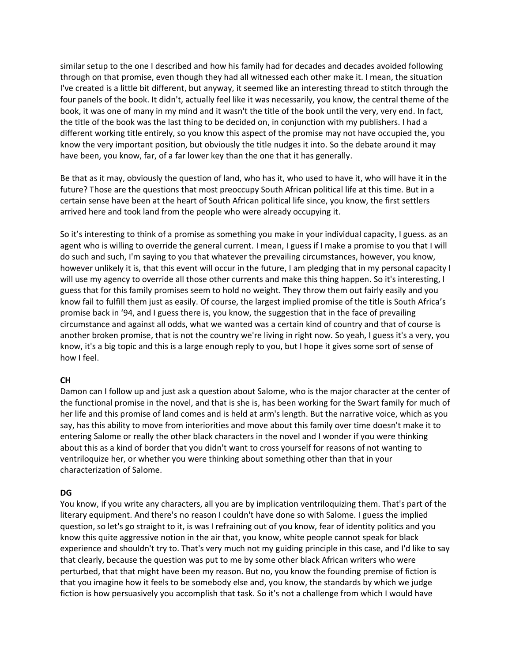similar setup to the one I described and how his family had for decades and decades avoided following through on that promise, even though they had all witnessed each other make it. I mean, the situation I've created is a little bit different, but anyway, it seemed like an interesting thread to stitch through the four panels of the book. It didn't, actually feel like it was necessarily, you know, the central theme of the book, it was one of many in my mind and it wasn't the title of the book until the very, very end. In fact, the title of the book was the last thing to be decided on, in conjunction with my publishers. I had a different working title entirely, so you know this aspect of the promise may not have occupied the, you know the very important position, but obviously the title nudges it into. So the debate around it may have been, you know, far, of a far lower key than the one that it has generally.

Be that as it may, obviously the question of land, who has it, who used to have it, who will have it in the future? Those are the questions that most preoccupy South African political life at this time. But in a certain sense have been at the heart of South African political life since, you know, the first settlers arrived here and took land from the people who were already occupying it.

So it's interesting to think of a promise as something you make in your individual capacity, I guess. as an agent who is willing to override the general current. I mean, I guess if I make a promise to you that I will do such and such, I'm saying to you that whatever the prevailing circumstances, however, you know, however unlikely it is, that this event will occur in the future, I am pledging that in my personal capacity I will use my agency to override all those other currents and make this thing happen. So it's interesting, I guess that for this family promises seem to hold no weight. They throw them out fairly easily and you know fail to fulfill them just as easily. Of course, the largest implied promise of the title is South Africa's promise back in '94, and I guess there is, you know, the suggestion that in the face of prevailing circumstance and against all odds, what we wanted was a certain kind of country and that of course is another broken promise, that is not the country we're living in right now. So yeah, I guess it's a very, you know, it's a big topic and this is a large enough reply to you, but I hope it gives some sort of sense of how I feel.

# **CH**

Damon can I follow up and just ask a question about Salome, who is the major character at the center of the functional promise in the novel, and that is she is, has been working for the Swart family for much of her life and this promise of land comes and is held at arm's length. But the narrative voice, which as you say, has this ability to move from interiorities and move about this family over time doesn't make it to entering Salome or really the other black characters in the novel and I wonder if you were thinking about this as a kind of border that you didn't want to cross yourself for reasons of not wanting to ventriloquize her, or whether you were thinking about something other than that in your characterization of Salome.

#### **DG**

You know, if you write any characters, all you are by implication ventriloquizing them. That's part of the literary equipment. And there's no reason I couldn't have done so with Salome. I guess the implied question, so let's go straight to it, is was I refraining out of you know, fear of identity politics and you know this quite aggressive notion in the air that, you know, white people cannot speak for black experience and shouldn't try to. That's very much not my guiding principle in this case, and I'd like to say that clearly, because the question was put to me by some other black African writers who were perturbed, that that might have been my reason. But no, you know the founding premise of fiction is that you imagine how it feels to be somebody else and, you know, the standards by which we judge fiction is how persuasively you accomplish that task. So it's not a challenge from which I would have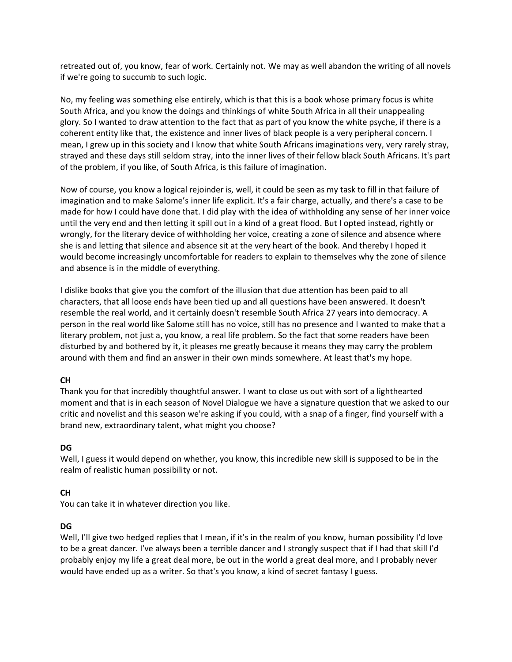retreated out of, you know, fear of work. Certainly not. We may as well abandon the writing of all novels if we're going to succumb to such logic.

No, my feeling was something else entirely, which is that this is a book whose primary focus is white South Africa, and you know the doings and thinkings of white South Africa in all their unappealing glory. So I wanted to draw attention to the fact that as part of you know the white psyche, if there is a coherent entity like that, the existence and inner lives of black people is a very peripheral concern. I mean, I grew up in this society and I know that white South Africans imaginations very, very rarely stray, strayed and these days still seldom stray, into the inner lives of their fellow black South Africans. It's part of the problem, if you like, of South Africa, is this failure of imagination.

Now of course, you know a logical rejoinder is, well, it could be seen as my task to fill in that failure of imagination and to make Salome's inner life explicit. It's a fair charge, actually, and there's a case to be made for how I could have done that. I did play with the idea of withholding any sense of her inner voice until the very end and then letting it spill out in a kind of a great flood. But I opted instead, rightly or wrongly, for the literary device of withholding her voice, creating a zone of silence and absence where she is and letting that silence and absence sit at the very heart of the book. And thereby I hoped it would become increasingly uncomfortable for readers to explain to themselves why the zone of silence and absence is in the middle of everything.

I dislike books that give you the comfort of the illusion that due attention has been paid to all characters, that all loose ends have been tied up and all questions have been answered. It doesn't resemble the real world, and it certainly doesn't resemble South Africa 27 years into democracy. A person in the real world like Salome still has no voice, still has no presence and I wanted to make that a literary problem, not just a, you know, a real life problem. So the fact that some readers have been disturbed by and bothered by it, it pleases me greatly because it means they may carry the problem around with them and find an answer in their own minds somewhere. At least that's my hope.

# **CH**

Thank you for that incredibly thoughtful answer. I want to close us out with sort of a lighthearted moment and that is in each season of Novel Dialogue we have a signature question that we asked to our critic and novelist and this season we're asking if you could, with a snap of a finger, find yourself with a brand new, extraordinary talent, what might you choose?

# **DG**

Well, I guess it would depend on whether, you know, this incredible new skill is supposed to be in the realm of realistic human possibility or not.

# **CH**

You can take it in whatever direction you like.

# **DG**

Well, I'll give two hedged replies that I mean, if it's in the realm of you know, human possibility I'd love to be a great dancer. I've always been a terrible dancer and I strongly suspect that if I had that skill I'd probably enjoy my life a great deal more, be out in the world a great deal more, and I probably never would have ended up as a writer. So that's you know, a kind of secret fantasy I guess.